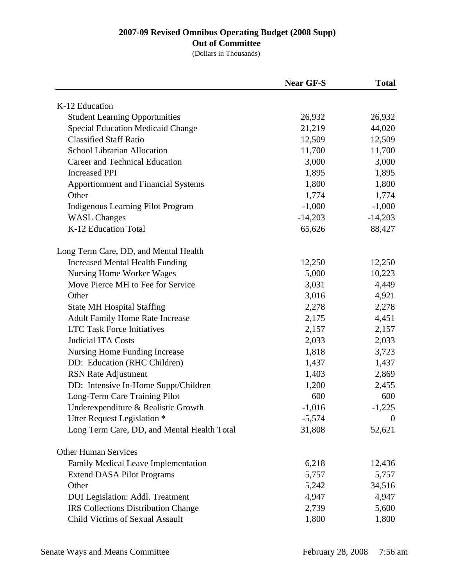### **Out of Committee**

|                                             | <b>Near GF-S</b> | <b>Total</b>   |
|---------------------------------------------|------------------|----------------|
| K-12 Education                              |                  |                |
| <b>Student Learning Opportunities</b>       | 26,932           | 26,932         |
| <b>Special Education Medicaid Change</b>    | 21,219           | 44,020         |
| <b>Classified Staff Ratio</b>               | 12,509           | 12,509         |
| School Librarian Allocation                 | 11,700           | 11,700         |
| Career and Technical Education              | 3,000            | 3,000          |
| <b>Increased PPI</b>                        | 1,895            | 1,895          |
| <b>Apportionment and Financial Systems</b>  | 1,800            | 1,800          |
| Other                                       | 1,774            | 1,774          |
| Indigenous Learning Pilot Program           | $-1,000$         | $-1,000$       |
| <b>WASL Changes</b>                         | $-14,203$        | $-14,203$      |
| K-12 Education Total                        | 65,626           | 88,427         |
| Long Term Care, DD, and Mental Health       |                  |                |
| <b>Increased Mental Health Funding</b>      | 12,250           | 12,250         |
| Nursing Home Worker Wages                   | 5,000            | 10,223         |
| Move Pierce MH to Fee for Service           | 3,031            | 4,449          |
| Other                                       | 3,016            | 4,921          |
| <b>State MH Hospital Staffing</b>           | 2,278            | 2,278          |
| <b>Adult Family Home Rate Increase</b>      | 2,175            | 4,451          |
| <b>LTC Task Force Initiatives</b>           | 2,157            | 2,157          |
| <b>Judicial ITA Costs</b>                   | 2,033            | 2,033          |
| Nursing Home Funding Increase               | 1,818            | 3,723          |
| DD: Education (RHC Children)                | 1,437            | 1,437          |
| <b>RSN</b> Rate Adjustment                  | 1,403            | 2,869          |
| DD: Intensive In-Home Suppt/Children        | 1,200            | 2,455          |
| Long-Term Care Training Pilot               | 600              | 600            |
| Underexpenditure & Realistic Growth         | $-1,016$         | $-1,225$       |
| Utter Request Legislation *                 | $-5,574$         | $\overline{0}$ |
| Long Term Care, DD, and Mental Health Total | 31,808           | 52,621         |
| <b>Other Human Services</b>                 |                  |                |
| Family Medical Leave Implementation         | 6,218            | 12,436         |
| <b>Extend DASA Pilot Programs</b>           | 5,757            | 5,757          |
| Other                                       | 5,242            | 34,516         |
| <b>DUI</b> Legislation: Addl. Treatment     | 4,947            | 4,947          |
| <b>IRS Collections Distribution Change</b>  | 2,739            | 5,600          |
| <b>Child Victims of Sexual Assault</b>      | 1,800            | 1,800          |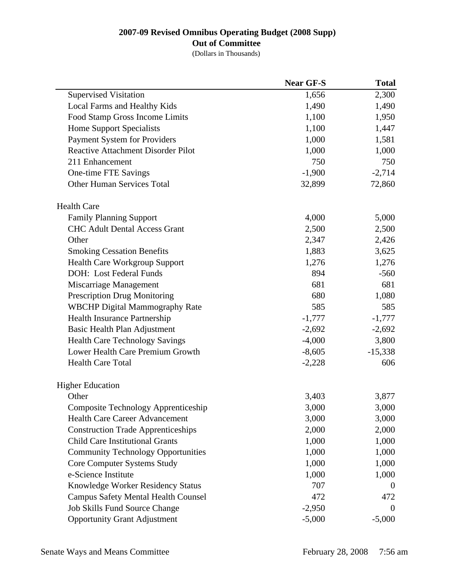### **Out of Committee**

|                                            | <b>Near GF-S</b> | <b>Total</b> |
|--------------------------------------------|------------------|--------------|
| <b>Supervised Visitation</b>               | 1,656            | 2,300        |
| Local Farms and Healthy Kids               | 1,490            | 1,490        |
| Food Stamp Gross Income Limits             | 1,100            | 1,950        |
| <b>Home Support Specialists</b>            | 1,100            | 1,447        |
| Payment System for Providers               | 1,000            | 1,581        |
| <b>Reactive Attachment Disorder Pilot</b>  | 1,000            | 1,000        |
| 211 Enhancement                            | 750              | 750          |
| One-time FTE Savings                       | $-1,900$         | $-2,714$     |
| <b>Other Human Services Total</b>          | 32,899           | 72,860       |
| <b>Health Care</b>                         |                  |              |
| <b>Family Planning Support</b>             | 4,000            | 5,000        |
| <b>CHC Adult Dental Access Grant</b>       | 2,500            | 2,500        |
| Other                                      | 2,347            | 2,426        |
| <b>Smoking Cessation Benefits</b>          | 1,883            | 3,625        |
| <b>Health Care Workgroup Support</b>       | 1,276            | 1,276        |
| DOH: Lost Federal Funds                    | 894              | $-560$       |
| Miscarriage Management                     | 681              | 681          |
| <b>Prescription Drug Monitoring</b>        | 680              | 1,080        |
| <b>WBCHP Digital Mammography Rate</b>      | 585              | 585          |
| Health Insurance Partnership               | $-1,777$         | $-1,777$     |
| Basic Health Plan Adjustment               | $-2,692$         | $-2,692$     |
| <b>Health Care Technology Savings</b>      | $-4,000$         | 3,800        |
| Lower Health Care Premium Growth           | $-8,605$         | $-15,338$    |
| <b>Health Care Total</b>                   | $-2,228$         | 606          |
| <b>Higher Education</b>                    |                  |              |
| Other                                      | 3,403            | 3,877        |
| Composite Technology Apprenticeship        | 3,000            | 3,000        |
| Health Care Career Advancement             | 3,000            | 3,000        |
| <b>Construction Trade Apprenticeships</b>  | 2,000            | 2,000        |
| <b>Child Care Institutional Grants</b>     | 1,000            | 1,000        |
| <b>Community Technology Opportunities</b>  | 1,000            | 1,000        |
| Core Computer Systems Study                | 1,000            | 1,000        |
| e-Science Institute                        | 1,000            | 1,000        |
| Knowledge Worker Residency Status          | 707              | $\theta$     |
| <b>Campus Safety Mental Health Counsel</b> | 472              | 472          |
| Job Skills Fund Source Change              | $-2,950$         | $\theta$     |
| <b>Opportunity Grant Adjustment</b>        | $-5,000$         | $-5,000$     |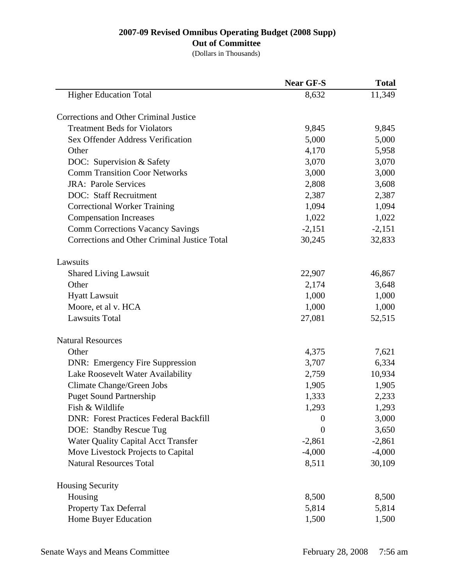## **Out of Committee**

|                                               | <b>Near GF-S</b> | <b>Total</b> |
|-----------------------------------------------|------------------|--------------|
| <b>Higher Education Total</b>                 | 8,632            | 11,349       |
| Corrections and Other Criminal Justice        |                  |              |
| <b>Treatment Beds for Violators</b>           | 9,845            | 9,845        |
| Sex Offender Address Verification             | 5,000            | 5,000        |
| Other                                         | 4,170            | 5,958        |
| DOC: Supervision & Safety                     | 3,070            | 3,070        |
| <b>Comm Transition Coor Networks</b>          | 3,000            | 3,000        |
| <b>JRA: Parole Services</b>                   | 2,808            | 3,608        |
| <b>DOC:</b> Staff Recruitment                 | 2,387            | 2,387        |
| <b>Correctional Worker Training</b>           | 1,094            | 1,094        |
| <b>Compensation Increases</b>                 | 1,022            | 1,022        |
| <b>Comm Corrections Vacancy Savings</b>       | $-2,151$         | $-2,151$     |
| Corrections and Other Criminal Justice Total  | 30,245           | 32,833       |
| Lawsuits                                      |                  |              |
| <b>Shared Living Lawsuit</b>                  | 22,907           | 46,867       |
| Other                                         | 2,174            | 3,648        |
| <b>Hyatt Lawsuit</b>                          | 1,000            | 1,000        |
| Moore, et al v. HCA                           | 1,000            | 1,000        |
| <b>Lawsuits Total</b>                         | 27,081           | 52,515       |
| <b>Natural Resources</b>                      |                  |              |
| Other                                         | 4,375            | 7,621        |
| <b>DNR:</b> Emergency Fire Suppression        | 3,707            | 6,334        |
| Lake Roosevelt Water Availability             | 2,759            | 10,934       |
| Climate Change/Green Jobs                     | 1,905            | 1,905        |
| <b>Puget Sound Partnership</b>                | 1,333            | 2,233        |
| Fish & Wildlife                               | 1,293            | 1,293        |
| <b>DNR: Forest Practices Federal Backfill</b> | $\boldsymbol{0}$ | 3,000        |
| DOE: Standby Rescue Tug                       | $\boldsymbol{0}$ | 3,650        |
| <b>Water Quality Capital Acct Transfer</b>    | $-2,861$         | $-2,861$     |
| Move Livestock Projects to Capital            | $-4,000$         | $-4,000$     |
| <b>Natural Resources Total</b>                | 8,511            | 30,109       |
| <b>Housing Security</b>                       |                  |              |
| Housing                                       | 8,500            | 8,500        |
| <b>Property Tax Deferral</b>                  | 5,814            | 5,814        |
| Home Buyer Education                          | 1,500            | 1,500        |